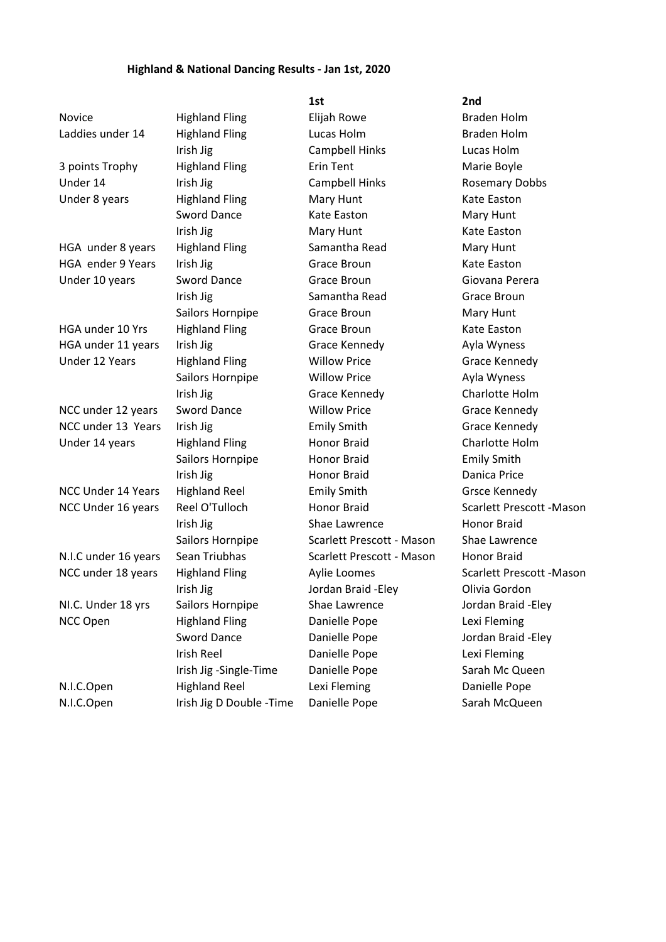## **Highland & National Dancing Results - Jan 1st, 2020**

|                           |                           | 1st                       | 2nd                             |
|---------------------------|---------------------------|---------------------------|---------------------------------|
| Novice                    | <b>Highland Fling</b>     | Elijah Rowe               | <b>Braden Holm</b>              |
| Laddies under 14          | <b>Highland Fling</b>     | Lucas Holm                | <b>Braden Holm</b>              |
|                           | Irish Jig                 | Campbell Hinks            | Lucas Holm                      |
| 3 points Trophy           | <b>Highland Fling</b>     | <b>Erin Tent</b>          | Marie Boyle                     |
| Under 14                  | Irish Jig                 | Campbell Hinks            | <b>Rosemary Dobbs</b>           |
| Under 8 years             | <b>Highland Fling</b>     | Mary Hunt                 | Kate Easton                     |
|                           | <b>Sword Dance</b>        | Kate Easton               | Mary Hunt                       |
|                           | Irish Jig                 | Mary Hunt                 | Kate Easton                     |
| HGA under 8 years         | <b>Highland Fling</b>     | Samantha Read             | Mary Hunt                       |
| HGA ender 9 Years         | Irish Jig                 | Grace Broun               | Kate Easton                     |
| Under 10 years            | <b>Sword Dance</b>        | Grace Broun               | Giovana Perera                  |
|                           | Irish Jig                 | Samantha Read             | Grace Broun                     |
|                           | Sailors Hornpipe          | Grace Broun               | Mary Hunt                       |
| HGA under 10 Yrs          | <b>Highland Fling</b>     | Grace Broun               | Kate Easton                     |
| HGA under 11 years        | Irish Jig                 | Grace Kennedy             | Ayla Wyness                     |
| Under 12 Years            | <b>Highland Fling</b>     | <b>Willow Price</b>       | Grace Kennedy                   |
|                           | Sailors Hornpipe          | <b>Willow Price</b>       | Ayla Wyness                     |
|                           | Irish Jig                 | Grace Kennedy             | Charlotte Holm                  |
| NCC under 12 years        | <b>Sword Dance</b>        | <b>Willow Price</b>       | Grace Kennedy                   |
| NCC under 13 Years        | Irish Jig                 | <b>Emily Smith</b>        | Grace Kennedy                   |
| Under 14 years            | <b>Highland Fling</b>     | Honor Braid               | Charlotte Holm                  |
|                           | Sailors Hornpipe          | <b>Honor Braid</b>        | <b>Emily Smith</b>              |
|                           | Irish Jig                 | <b>Honor Braid</b>        | Danica Price                    |
| <b>NCC Under 14 Years</b> | <b>Highland Reel</b>      | <b>Emily Smith</b>        | <b>Grsce Kennedy</b>            |
| NCC Under 16 years        | Reel O'Tulloch            | <b>Honor Braid</b>        | <b>Scarlett Prescott -Mason</b> |
|                           | Irish Jig                 | Shae Lawrence             | <b>Honor Braid</b>              |
|                           | Sailors Hornpipe          | Scarlett Prescott - Mason | Shae Lawrence                   |
| N.I.C under 16 years      | Sean Triubhas             | Scarlett Prescott - Mason | Honor Braid                     |
| NCC under 18 years        | <b>Highland Fling</b>     | Aylie Loomes              | Scarlett Prescott - Mason       |
|                           | Irish Jig                 | Jordan Braid - Eley       | Olivia Gordon                   |
| NI.C. Under 18 yrs        | Sailors Hornpipe          | Shae Lawrence             | Jordan Braid - Eley             |
| NCC Open                  | <b>Highland Fling</b>     | Danielle Pope             | Lexi Fleming                    |
|                           | <b>Sword Dance</b>        | Danielle Pope             | Jordan Braid - Eley             |
|                           | Irish Reel                | Danielle Pope             | Lexi Fleming                    |
|                           | Irish Jig -Single-Time    | Danielle Pope             | Sarah Mc Queen                  |
| N.I.C.Open                | <b>Highland Reel</b>      | Lexi Fleming              | Danielle Pope                   |
| N.I.C.Open                | Irish Jig D Double - Time | Danielle Pope             | Sarah McQueen                   |